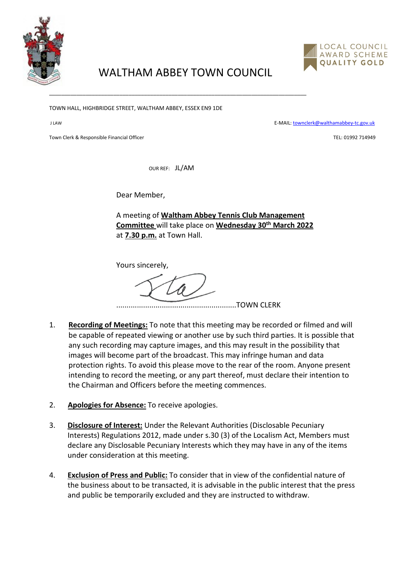

## LOCAL COUNCIL AWARD SCHEME QUALITY GOLD

## WALTHAM ABBEY TOWN COUNCIL

\_\_\_\_\_\_\_\_\_\_\_\_\_\_\_\_\_\_\_\_\_\_\_\_\_\_\_\_\_\_\_\_\_\_\_\_\_\_\_\_\_\_\_\_\_\_\_\_\_\_\_\_\_\_\_\_\_\_\_\_\_\_\_\_\_\_\_\_\_\_\_\_\_\_\_\_\_\_\_\_\_\_\_\_

TOWN HALL, HIGHBRIDGE STREET, WALTHAM ABBEY, ESSEX EN9 1DE

J LAW E-MAIL[: townclerk@walthamabbey-tc.gov.uk](mailto:townclerk@walthamabbey-tc.gov.uk)

Town Clerk & Responsible Financial Officer Technology and the Second School of Technology and TEL: 01992 714949

OUR REF: JL/AM

Dear Member,

A meeting of **Waltham Abbey Tennis Club Management Committee** will take place on **Wednesday 30th March 2022** at **7.30 p.m.** at Town Hall.

Yours sincerely,

..........................................................TOWN CLERK

- 1. **Recording of Meetings:** To note that this meeting may be recorded or filmed and will be capable of repeated viewing or another use by such third parties. It is possible that any such recording may capture images, and this may result in the possibility that images will become part of the broadcast. This may infringe human and data protection rights. To avoid this please move to the rear of the room. Anyone present intending to record the meeting, or any part thereof, must declare their intention to the Chairman and Officers before the meeting commences.
- 2. **Apologies for Absence:** To receive apologies.
- 3. **Disclosure of Interest:** Under the Relevant Authorities (Disclosable Pecuniary Interests) Regulations 2012, made under s.30 (3) of the Localism Act, Members must declare any Disclosable Pecuniary Interests which they may have in any of the items under consideration at this meeting.
- 4. **Exclusion of Press and Public:** To consider that in view of the confidential nature of the business about to be transacted, it is advisable in the public interest that the press and public be temporarily excluded and they are instructed to withdraw.